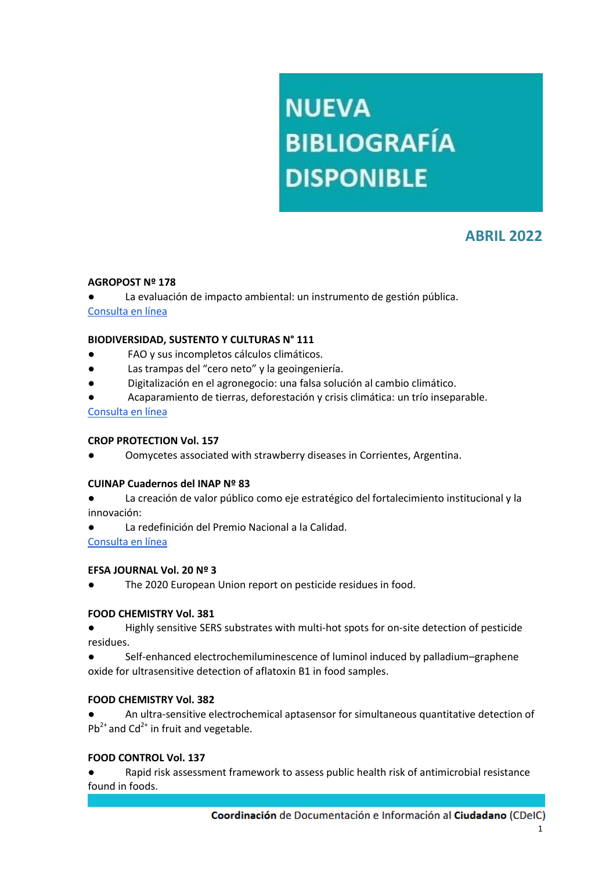# **NUEVA BIBLIOGRAFÍA DISPONIBLE**

# **ABRIL 2022**

# **AGROPOST Nº 178**

La evaluación de impacto ambiental: un instrumento de gestión pública. [Consulta en línea](http://www.cpia.org.ar/agropost/nota/139)

#### **BIODIVERSIDAD, SUSTENTO Y CULTURAS N° 111**

- FAO y sus incompletos cálculos climáticos.
- Las trampas del "cero neto" y la geoingeniería.
- Digitalización en el agronegocio: una falsa solución al cambio climático.
- Acaparamiento de tierras, deforestación y crisis climática: un trío inseparable.

[Consulta en línea](https://www.biodiversidadla.org/Revista/111)

#### **CROP PROTECTION Vol. 157**

Oomycetes associated with strawberry diseases in Corrientes, Argentina.

#### **CUINAP Cuadernos del INAP Nº 83**

- La creación de valor público como eje estratégico del fortalecimiento institucional y la innovación:
- La redefinición del Premio Nacional a la Calidad.

[Consulta en línea](https://publicaciones.inap.gob.ar/index.php/CUINAP/article/view/264/240)

#### **EFSA JOURNAL Vol. 20 Nº 3**

The 2020 European Union report on pesticide residues in food.

# **FOOD CHEMISTRY Vol. 381**

- Highly sensitive SERS substrates with multi-hot spots for on-site detection of pesticide residues.
- Self-enhanced electrochemiluminescence of luminol induced by palladium–graphene oxide for ultrasensitive detection of aflatoxin B1 in food samples.

#### **FOOD CHEMISTRY Vol. 382**

An ultra-sensitive electrochemical aptasensor for simultaneous quantitative detection of  $Pb^{2+}$  and Cd<sup>2+</sup> in fruit and vegetable.

# **FOOD CONTROL Vol. 137**

Rapid risk assessment framework to assess public health risk of antimicrobial resistance found in foods.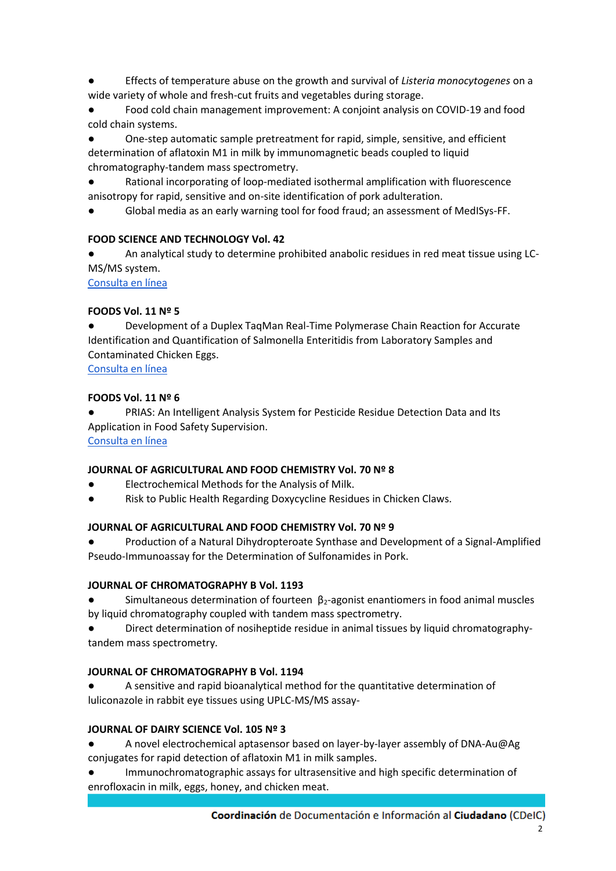- Effects of temperature abuse on the growth and survival of *Listeria monocytogenes* on a wide variety of whole and fresh-cut fruits and vegetables during storage.
- Food cold chain management improvement: A conjoint analysis on COVID-19 and food cold chain systems.
- One-step automatic sample pretreatment for rapid, simple, sensitive, and efficient determination of aflatoxin M1 in milk by immunomagnetic beads coupled to liquid chromatography-tandem mass spectrometry.
- Rational incorporating of loop-mediated isothermal amplification with fluorescence anisotropy for rapid, sensitive and on-site identification of pork adulteration.
- Global media as an early warning tool for food fraud; an assessment of MedISys-FF.

# **FOOD SCIENCE AND TECHNOLOGY Vol. 42**

An analytical study to determine prohibited anabolic residues in red meat tissue using LC-MS/MS system.

# [Consulta en línea](https://www.scielo.br/j/cta/a/6CXwKXky65PsGMKb7qspW4z/?format=pdf&lang=en)

# **FOODS Vol. 11 Nº 5**

Development of a Duplex TaqMan Real-Time Polymerase Chain Reaction for Accurate Identification and Quantification of Salmonella Enteritidis from Laboratory Samples and Contaminated Chicken Eggs.

# [Consulta en línea](https://www.mdpi.com/2304-8158/11/5/742)

# **FOODS Vol. 11 Nº 6**

PRIAS: An Intelligent Analysis System for Pesticide Residue Detection Data and Its Application in Food Safety Supervision.

[Consulta en línea](https://mdpi-res.com/d_attachment/foods/foods-11-00780/article_deploy/foods-11-00780-v2.pdf)

# **JOURNAL OF AGRICULTURAL AND FOOD CHEMISTRY Vol. 70 Nº 8**

- Electrochemical Methods for the Analysis of Milk.
- Risk to Public Health Regarding Doxycycline Residues in Chicken Claws.

# **JOURNAL OF AGRICULTURAL AND FOOD CHEMISTRY Vol. 70 Nº 9**

● Production of a Natural Dihydropteroate Synthase and Development of a Signal-Amplified Pseudo-Immunoassay for the Determination of Sulfonamides in Pork.

# **JOURNAL OF CHROMATOGRAPHY B Vol. 1193**

- Simultaneous determination of fourteen  $\beta_2$ -agonist enantiomers in food animal muscles by liquid chromatography coupled with tandem mass spectrometry.
- Direct determination of nosiheptide residue in animal tissues by liquid chromatographytandem mass spectrometry.

# **JOURNAL OF CHROMATOGRAPHY B Vol. 1194**

A sensitive and rapid bioanalytical method for the quantitative determination of luliconazole in rabbit eye tissues using UPLC-MS/MS assay-

# **JOURNAL OF DAIRY SCIENCE Vol. 105 Nº 3**

- A novel electrochemical aptasensor based on layer-by-layer assembly of DNA-Au@Ag conjugates for rapid detection of aflatoxin M1 in milk samples.
- Immunochromatographic assays for ultrasensitive and high specific determination of enrofloxacin in milk, eggs, honey, and chicken meat.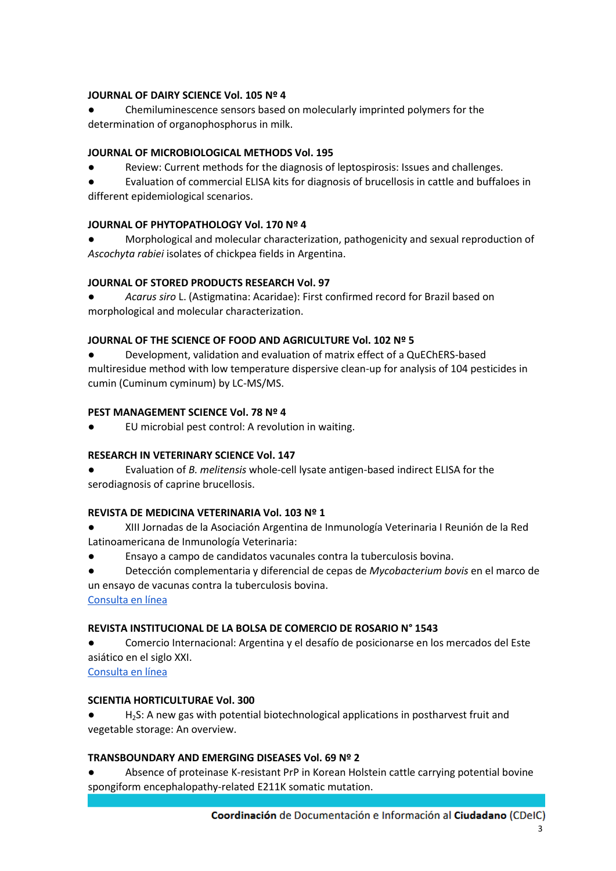# **JOURNAL OF DAIRY SCIENCE Vol. 105 Nº 4**

Chemiluminescence sensors based on molecularly imprinted polymers for the determination of organophosphorus in milk.

# **JOURNAL OF MICROBIOLOGICAL METHODS Vol. 195**

● Review: Current methods for the diagnosis of leptospirosis: Issues and challenges.

● Evaluation of commercial ELISA kits for diagnosis of brucellosis in cattle and buffaloes in different epidemiological scenarios.

# **JOURNAL OF PHYTOPATHOLOGY Vol. 170 Nº 4**

Morphological and molecular characterization, pathogenicity and sexual reproduction of *Ascochyta rabiei* isolates of chickpea fields in Argentina.

# **JOURNAL OF STORED PRODUCTS RESEARCH Vol. 97**

● *Acarus siro* L. (Astigmatina: Acaridae): First confirmed record for Brazil based on morphological and molecular characterization.

# **JOURNAL OF THE SCIENCE OF FOOD AND AGRICULTURE Vol. 102 Nº 5**

● Development, validation and evaluation of matrix effect of a QuEChERS-based multiresidue method with low temperature dispersive clean-up for analysis of 104 pesticides in cumin (Cuminum cyminum) by LC-MS/MS.

# **PEST MANAGEMENT SCIENCE Vol. 78 Nº 4**

EU microbial pest control: A revolution in waiting.

# **RESEARCH IN VETERINARY SCIENCE Vol. 147**

● Evaluation of *B. melitensis* whole-cell lysate antigen-based indirect ELISA for the serodiagnosis of caprine brucellosis.

#### **REVISTA DE MEDICINA VETERINARIA Vol. 103 Nº 1**

● XIII Jornadas de la Asociación Argentina de Inmunología Veterinaria I Reunión de la Red Latinoamericana de Inmunología Veterinaria:

Ensayo a campo de candidatos vacunales contra la tuberculosis bovina.

● Detección complementaria y diferencial de cepas de *Mycobacterium bovis* en el marco de un ensayo de vacunas contra la tuberculosis bovina.

[Consulta en línea](https://www.someve.com.ar/images/revista/2022/Vol103(1)/Pag-4-75-Resumenes-AAIV.pdf)

# **REVISTA INSTITUCIONAL DE LA BOLSA DE COMERCIO DE ROSARIO N° 1543**

Comercio Internacional: Argentina y el desafío de posicionarse en los mercados del Este asiático en el siglo XXI.

[Consulta en línea](https://www.bcr.com.ar/es/sobre-bcr/revista-institucional/noticias-revista-institucional/version-digital-completa-1543)

#### **SCIENTIA HORTICULTURAE Vol. 300**

H<sub>2</sub>S: A new gas with potential biotechnological applications in postharvest fruit and vegetable storage: An overview.

#### **TRANSBOUNDARY AND EMERGING DISEASES Vol. 69 Nº 2**

Absence of proteinase K-resistant PrP in Korean Holstein cattle carrying potential bovine spongiform encephalopathy-related E211K somatic mutation.